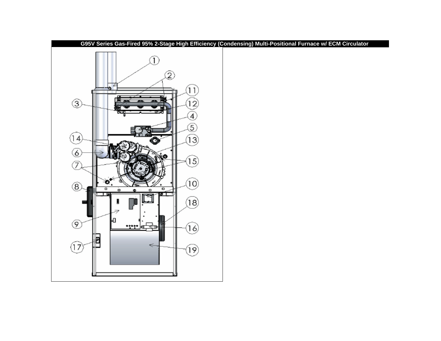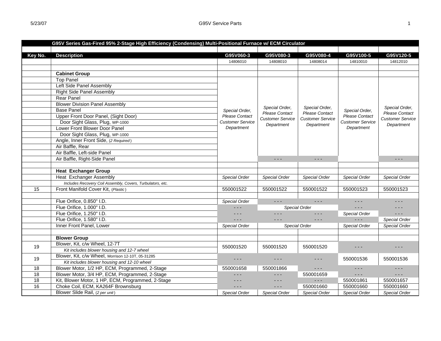|         | G95V Series Gas-Fired 95% 2-Stage High Efficiency (Condensing) Multi-Positional Furnace w/ ECM Circulator |                         |                         |                         |                         |                         |
|---------|-----------------------------------------------------------------------------------------------------------|-------------------------|-------------------------|-------------------------|-------------------------|-------------------------|
|         |                                                                                                           |                         |                         |                         |                         |                         |
| Key No. | <b>Description</b>                                                                                        | G95V060-3               | G95V080-3               | G95V080-4               | G95V100-5               | G95V120-5               |
|         |                                                                                                           | 14806010                | 14808010                | 14808014                | 14810010                | 14812010                |
|         |                                                                                                           |                         |                         |                         |                         |                         |
|         | <b>Cabinet Group</b>                                                                                      |                         |                         |                         |                         |                         |
|         | <b>Top Panel</b>                                                                                          |                         |                         |                         |                         |                         |
|         | Left Side Panel Assembly                                                                                  |                         |                         |                         |                         |                         |
|         | <b>Right Side Panel Assembly</b>                                                                          |                         |                         |                         |                         |                         |
|         | <b>Rear Panel</b>                                                                                         |                         |                         |                         |                         |                         |
|         | <b>Blower Division Panel Assembly</b>                                                                     |                         | Special Order,          | Special Order,          |                         | Special Order.          |
|         | <b>Base Panel</b>                                                                                         | Special Order,          | <b>Please Contact</b>   | <b>Please Contact</b>   | Special Order,          | <b>Please Contact</b>   |
|         | Upper Front Door Panel, (Sight Door)                                                                      | Please Contact          | <b>Customer Service</b> | <b>Customer Service</b> | Please Contact          | <b>Customer Service</b> |
|         | Door Sight Glass, Plug, WP-1000                                                                           | <b>Customer Service</b> | Department              | Department              | <b>Customer Service</b> | Department              |
|         | Lower Front Blower Door Panel                                                                             | Department              |                         |                         | Department              |                         |
|         | Door Sight Glass, Plug, WP-1000                                                                           |                         |                         |                         |                         |                         |
|         | Angle, Inner Front Side, (2 Required)                                                                     |                         |                         |                         |                         |                         |
|         | Air Baffle, Rear                                                                                          |                         |                         |                         |                         |                         |
|         | Air Baffle, Left-side Panel                                                                               |                         |                         |                         |                         |                         |
|         | Air Baffle, Right-Side Panel                                                                              |                         | $- - -$                 | $ -$                    |                         | $ -$                    |
|         |                                                                                                           |                         |                         |                         |                         |                         |
|         | <b>Heat Exchanger Group</b>                                                                               |                         |                         |                         |                         |                         |
|         | Heat Exchanger Assembly                                                                                   | Special Order           | Special Order           | Special Order           | Special Order           | Special Order           |
|         | Includes Recovery Coil Assembly, Covers, Turbulators, etc.                                                |                         |                         |                         |                         |                         |
| 15      | Front Manifold Cover Kit, (Plastic)                                                                       | 550001522               | 550001522               | 550001522               | 550001523               | 550001523               |
|         |                                                                                                           |                         |                         |                         |                         |                         |
|         | Flue Orifice, 0.850" I.D.                                                                                 | Special Order           | .                       | $ -$                    | $ -$                    |                         |
|         | Flue Orifice, 1.000" I.D.                                                                                 |                         |                         | Special Order           | $  -$                   |                         |
|         | Flue Orifice, 1.250" I.D.                                                                                 |                         | - - -                   | $  -$                   | Special Order           | $\sim$ $\sim$ $\sim$    |
|         | Flue Orifice, 1.580" I.D.                                                                                 | $  -$                   |                         |                         | $ -$                    | Special Order           |
|         | Inner Front Panel, Lower                                                                                  | Special Order           |                         | Special Order           | Special Order           | Special Order           |
|         |                                                                                                           |                         |                         |                         |                         |                         |
|         | <b>Blower Group</b>                                                                                       |                         |                         |                         |                         |                         |
| 19      | Blower, Kit, c/w Wheel, 12-7T                                                                             | 550001520               | 550001520               | 550001520               | $- - -$                 | - - -                   |
|         | Kit includes blower housing and 12-7 wheel                                                                |                         |                         |                         |                         |                         |
| 19      | Blower, Kit, c/w Wheel, Morrison 12-10T, 05-31285                                                         | $ -$                    | .                       |                         | 550001536               | 550001536               |
|         | Kit includes blower housing and 12-10 wheel                                                               |                         |                         |                         |                         |                         |
| 18      | Blower Motor, 1/2 HP, ECM, Programmed, 2-Stage                                                            | 550001658               | 550001866               | $  -$                   | $- - -$                 | $- - -$                 |
| 18      | Blower Motor, 3/4 HP, ECM, Programmed, 2-Stage                                                            | .                       | - - -                   | 550001659               | $  -$                   | - - -                   |
| 18      | Kit, Blower Motor, 1 HP, ECM, Programmed, 2-Stage                                                         |                         | .                       | $- - -$                 | 550001861               | 550001657               |
| 16      | Choke Coil, ECM, KA264F Brownsburg                                                                        | - - -                   | - - -                   | 550001660               | 550001660               | 550001660               |
|         | Blower Slide Rail, (2 per unit)                                                                           | Special Order           | Special Order           | <b>Special Order</b>    | Special Order           | Special Order           |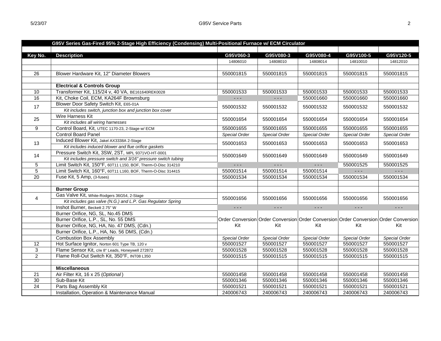|                 | G95V Series Gas-Fired 95% 2-Stage High Efficiency (Condensing) Multi-Positional Furnace w/ ECM Circulator |               |               |               |                                                                                                                                                                                                                                                                                                                                                                                              |                                                                                      |  |  |
|-----------------|-----------------------------------------------------------------------------------------------------------|---------------|---------------|---------------|----------------------------------------------------------------------------------------------------------------------------------------------------------------------------------------------------------------------------------------------------------------------------------------------------------------------------------------------------------------------------------------------|--------------------------------------------------------------------------------------|--|--|
|                 |                                                                                                           |               |               |               |                                                                                                                                                                                                                                                                                                                                                                                              |                                                                                      |  |  |
| Key No.         | <b>Description</b>                                                                                        | G95V060-3     | G95V080-3     | G95V080-4     | G95V100-5                                                                                                                                                                                                                                                                                                                                                                                    | G95V120-5                                                                            |  |  |
|                 |                                                                                                           | 14806010      | 14808010      | 14808014      | 14810010                                                                                                                                                                                                                                                                                                                                                                                     | 14812010                                                                             |  |  |
|                 |                                                                                                           |               |               |               |                                                                                                                                                                                                                                                                                                                                                                                              |                                                                                      |  |  |
| 26              | Blower Hardware Kit, 12" Diameter Blowers                                                                 | 550001815     | 550001815     | 550001815     | 550001815                                                                                                                                                                                                                                                                                                                                                                                    | 550001815                                                                            |  |  |
|                 |                                                                                                           |               |               |               |                                                                                                                                                                                                                                                                                                                                                                                              |                                                                                      |  |  |
|                 | <b>Electrical &amp; Controls Group</b>                                                                    |               |               |               |                                                                                                                                                                                                                                                                                                                                                                                              |                                                                                      |  |  |
| 10              | Transformer Kit, 115/24 v, 40 VA, BE161640REK0028                                                         | 550001533     | 550001533     | 550001533     | 550001533                                                                                                                                                                                                                                                                                                                                                                                    | 550001533                                                                            |  |  |
| 16              | Kit, Choke Coil, ECM, KA264F Brownsburg                                                                   | $- - -$       | - - -         | 550001660     | 550001660                                                                                                                                                                                                                                                                                                                                                                                    | 550001660                                                                            |  |  |
| 17              | Blower Door Safety Switch Kit, E65-01A                                                                    | 550001532     | 550001532     | 550001532     | 550001532                                                                                                                                                                                                                                                                                                                                                                                    | 550001532                                                                            |  |  |
|                 | Kit includes switch, junction box and junction box cover                                                  |               |               |               |                                                                                                                                                                                                                                                                                                                                                                                              |                                                                                      |  |  |
| 25              | Wire Harness Kit                                                                                          | 550001654     | 550001654     | 550001654     | 550001654                                                                                                                                                                                                                                                                                                                                                                                    | 550001654                                                                            |  |  |
|                 | Kit includes all wiring harnesses                                                                         |               |               |               |                                                                                                                                                                                                                                                                                                                                                                                              |                                                                                      |  |  |
| 9               | Control Board, Kit, UTEC 1170-23, 2-Stage w/ ECM                                                          | 550001655     | 550001655     | 550001655     | 550001655                                                                                                                                                                                                                                                                                                                                                                                    | 550001655                                                                            |  |  |
|                 | <b>Control Board Panel</b>                                                                                | Special Order | Special Order | Special Order | Special Order                                                                                                                                                                                                                                                                                                                                                                                | Special Order                                                                        |  |  |
| 13              | Induced Blower Kit, Jakel AX3338A 2-Stage                                                                 | 550001653     | 550001653     | 550001653     | 550001653                                                                                                                                                                                                                                                                                                                                                                                    | 550001653                                                                            |  |  |
|                 | Kit includes induced blower and flue orifice gaskets                                                      |               |               |               |                                                                                                                                                                                                                                                                                                                                                                                              |                                                                                      |  |  |
| 14              | Pressure Switch Kit, 3SW, 2ST, MPL 9371VO-HT-0001                                                         | 550001649     | 550001649     | 550001649     | 550001649                                                                                                                                                                                                                                                                                                                                                                                    | 550001649                                                                            |  |  |
|                 | Kit includes pressure switch and 3/16" pressure switch tubing                                             |               |               |               |                                                                                                                                                                                                                                                                                                                                                                                              |                                                                                      |  |  |
| 5               | Limit Switch Kit, 150°F, 60T11 L150, BOF, Therm-O-Disc 314210                                             | $- - -$       |               |               | 550001525                                                                                                                                                                                                                                                                                                                                                                                    | 550001525                                                                            |  |  |
| 5               | Limit Switch Kit, 160°F, 60T11 L160, BOF, Therm-O-Disc 314415                                             | 550001514     | 550001514     | 550001514     | $\frac{1}{2} \frac{1}{2} \frac{1}{2} \frac{1}{2} \frac{1}{2} \frac{1}{2} \frac{1}{2} \frac{1}{2} \frac{1}{2} \frac{1}{2} \frac{1}{2} \frac{1}{2} \frac{1}{2} \frac{1}{2} \frac{1}{2} \frac{1}{2} \frac{1}{2} \frac{1}{2} \frac{1}{2} \frac{1}{2} \frac{1}{2} \frac{1}{2} \frac{1}{2} \frac{1}{2} \frac{1}{2} \frac{1}{2} \frac{1}{2} \frac{1}{2} \frac{1}{2} \frac{1}{2} \frac{1}{2} \frac{$ | $- - -$                                                                              |  |  |
| 20              | Fuse Kit, 5 Amp, (3-fuses)                                                                                | 550001534     | 550001534     | 550001534     | 550001534                                                                                                                                                                                                                                                                                                                                                                                    | 550001534                                                                            |  |  |
|                 |                                                                                                           |               |               |               |                                                                                                                                                                                                                                                                                                                                                                                              |                                                                                      |  |  |
|                 | <b>Burner Group</b>                                                                                       |               |               |               |                                                                                                                                                                                                                                                                                                                                                                                              |                                                                                      |  |  |
| $\overline{4}$  | Gas Valve Kit, White-Rodgers 36G54, 2-Stage                                                               | 550001656     | 550001656     | 550001656     | 550001656                                                                                                                                                                                                                                                                                                                                                                                    | 550001656                                                                            |  |  |
|                 | Kit includes gas valve (N.G.) and L.P. Gas Regulator Spring                                               |               |               |               |                                                                                                                                                                                                                                                                                                                                                                                              |                                                                                      |  |  |
|                 | Inshot Burner, Beckett 2.75" W                                                                            | $  -$         | $- - -$       | $- - -$       | $\sim$ $\sim$ $\sim$                                                                                                                                                                                                                                                                                                                                                                         | $\sim$ $\sim$ $\sim$                                                                 |  |  |
|                 | Burner Orifice, NG, SL, No.45 DMS                                                                         |               |               |               |                                                                                                                                                                                                                                                                                                                                                                                              |                                                                                      |  |  |
|                 | Burner Orifice, L.P., SL, No. 55 DMS                                                                      |               |               |               |                                                                                                                                                                                                                                                                                                                                                                                              | Order Conversion Order Conversion Order Conversion Order Conversion Order Conversion |  |  |
|                 | Burner Orifice, NG, HA, No. 47 DMS, (Cdn.)                                                                | Kit           | Kit           | Kit           | Kit                                                                                                                                                                                                                                                                                                                                                                                          | Kit                                                                                  |  |  |
|                 | Burner Orifice, L.P., HA, No. 56 DMS, (Cdn.)                                                              |               |               |               |                                                                                                                                                                                                                                                                                                                                                                                              |                                                                                      |  |  |
|                 | <b>Combustion Box Assembly</b>                                                                            | Special Order | Special Order | Special Order | Special Order                                                                                                                                                                                                                                                                                                                                                                                | Special Order                                                                        |  |  |
| 12              | Hot Surface Ignitor, Norton 601 Type TB, 120 v                                                            | 550001527     | 550001527     | 550001527     | 550001527                                                                                                                                                                                                                                                                                                                                                                                    | 550001527                                                                            |  |  |
| 3               | Flame Sensor Kit, c/w 8" Leads, Honeywell 272872                                                          | 550001528     | 550001528     | 550001528     | 550001528                                                                                                                                                                                                                                                                                                                                                                                    | 550001528                                                                            |  |  |
| $\overline{2}$  | Flame Roll-Out Switch Kit, 350°F, INT08 L350                                                              | 550001515     | 550001515     | 550001515     | 550001515                                                                                                                                                                                                                                                                                                                                                                                    | 550001515                                                                            |  |  |
|                 |                                                                                                           |               |               |               |                                                                                                                                                                                                                                                                                                                                                                                              |                                                                                      |  |  |
|                 | <b>Miscellaneous</b>                                                                                      |               |               |               |                                                                                                                                                                                                                                                                                                                                                                                              |                                                                                      |  |  |
| 21              | Air Filter Kit, 16 x 25 (Optional)                                                                        | 550001458     | 550001458     | 550001458     | 550001458                                                                                                                                                                                                                                                                                                                                                                                    | 550001458                                                                            |  |  |
| 30              | Sub-Base Kit                                                                                              | 550001346     | 550001346     | 550001346     | 550001346                                                                                                                                                                                                                                                                                                                                                                                    | 550001346                                                                            |  |  |
| $\overline{24}$ | Parts Bag Assembly Kit                                                                                    | 550001521     | 550001521     | 550001521     | 550001521                                                                                                                                                                                                                                                                                                                                                                                    | 550001521                                                                            |  |  |
|                 | Installation, Operation & Maintenance Manual                                                              | 240006743     | 240006743     | 240006743     | 240006743                                                                                                                                                                                                                                                                                                                                                                                    | 240006743                                                                            |  |  |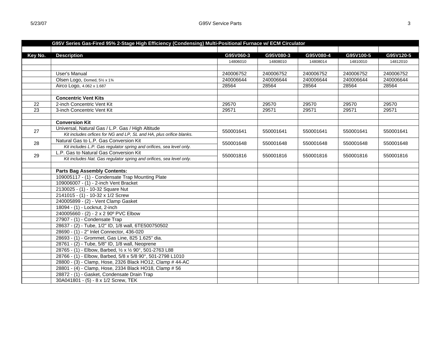|         | G95V Series Gas-Fired 95% 2-Stage High Efficiency (Condensing) Multi-Positional Furnace w/ ECM Circulator |           |           |           |           |           |
|---------|-----------------------------------------------------------------------------------------------------------|-----------|-----------|-----------|-----------|-----------|
|         |                                                                                                           |           |           |           |           |           |
| Key No. | <b>Description</b>                                                                                        | G95V060-3 | G95V080-3 | G95V080-4 | G95V100-5 | G95V120-5 |
|         |                                                                                                           | 14806010  | 14808010  | 14808014  | 14810010  | 14812010  |
|         |                                                                                                           |           |           |           |           |           |
|         | <b>User's Manual</b>                                                                                      | 240006752 | 240006752 | 240006752 | 240006752 | 240006752 |
|         | Olsen Logo, Domed, 51/2 x 13/4                                                                            | 240006644 | 240006644 | 240006644 | 240006644 | 240006644 |
|         | Airco Logo, 4.062 x 1.687                                                                                 | 28564     | 28564     | 28564     | 28564     | 28564     |
|         |                                                                                                           |           |           |           |           |           |
|         | <b>Concentric Vent Kits</b>                                                                               |           |           |           |           |           |
| 22      | 2-inch Concentric Vent Kit                                                                                | 29570     | 29570     | 29570     | 29570     | 29570     |
| 23      | 3-inch Concentric Vent Kit                                                                                | 29571     | 29571     | 29571     | 29571     | 29571     |
|         |                                                                                                           |           |           |           |           |           |
|         | <b>Conversion Kit</b>                                                                                     |           |           |           |           |           |
| 27      | Universal, Natural Gas / L.P. Gas / High Altitude                                                         | 550001641 | 550001641 | 550001641 | 550001641 | 550001641 |
|         | Kit includes orfices for NG and LP, SL and HA, plus orifice blanks.                                       |           |           |           |           |           |
| 28      | Natural Gas to L.P. Gas Conversion Kit                                                                    | 550001648 | 550001648 | 550001648 | 550001648 | 550001648 |
|         | Kit includes L.P. Gas regulator spring and orifices, sea level only.                                      |           |           |           |           |           |
| 29      | L.P. Gas to Natural Gas Conversion Kit                                                                    | 550001816 | 550001816 | 550001816 | 550001816 | 550001816 |
|         | Kit includes Nat. Gas regulator spring and orifices, sea level only.                                      |           |           |           |           |           |
|         |                                                                                                           |           |           |           |           |           |
|         | <b>Parts Bag Assembly Contents:</b>                                                                       |           |           |           |           |           |
|         | 109005117 - (1) - Condensate Trap Mounting Plate                                                          |           |           |           |           |           |
|         | 109006007 - (1) - 2-inch Vent Bracket                                                                     |           |           |           |           |           |
|         | 2130025 - (1) - 10-32 Square Nut                                                                          |           |           |           |           |           |
|         | 2141015 - (1) - 10-32 x 1/2 Screw                                                                         |           |           |           |           |           |
|         | 240005899 - (2) - Vent Clamp Gasket                                                                       |           |           |           |           |           |
|         | 18094 - (1) - Locknut, 2-inch                                                                             |           |           |           |           |           |
|         | 240005660 - (2) - 2 x 2 90° PVC Elbow                                                                     |           |           |           |           |           |
|         | 27907 - (1) - Condensate Trap                                                                             |           |           |           |           |           |
|         | 28637 - (2) - Tube, 1/2" ID, 1/8 wall, 6TE500750502                                                       |           |           |           |           |           |
|         | 28690 - (1) - 2" Inlet Connector, 436-020                                                                 |           |           |           |           |           |
|         | 28693 - (1) - Grommet, Gas Line, 825 1.625" dia.                                                          |           |           |           |           |           |
|         | 28761 - (2) - Tube, 5/8" ID, 1/8 wall, Neoprene                                                           |           |           |           |           |           |
|         | 28765 - (1) - Elbow, Barbed, 1/2 x 1/2 90°, 501-2763 L88                                                  |           |           |           |           |           |
|         | 28766 - (1) - Elbow, Barbed, 5/8 x 5/8 90°, 501-2798 L1010                                                |           |           |           |           |           |
|         | 28800 - (3) - Clamp, Hose, 2326 Black HO12, Clamp # 44-AC                                                 |           |           |           |           |           |
|         | 28801 - (4) - Clamp, Hose, 2334 Black HO18, Clamp # 56                                                    |           |           |           |           |           |
|         | 28872 - (1) - Gasket, Condensate Drain Trap                                                               |           |           |           |           |           |
|         | 30A041801 - (5) - 8 x 1/2 Screw, TEK                                                                      |           |           |           |           |           |